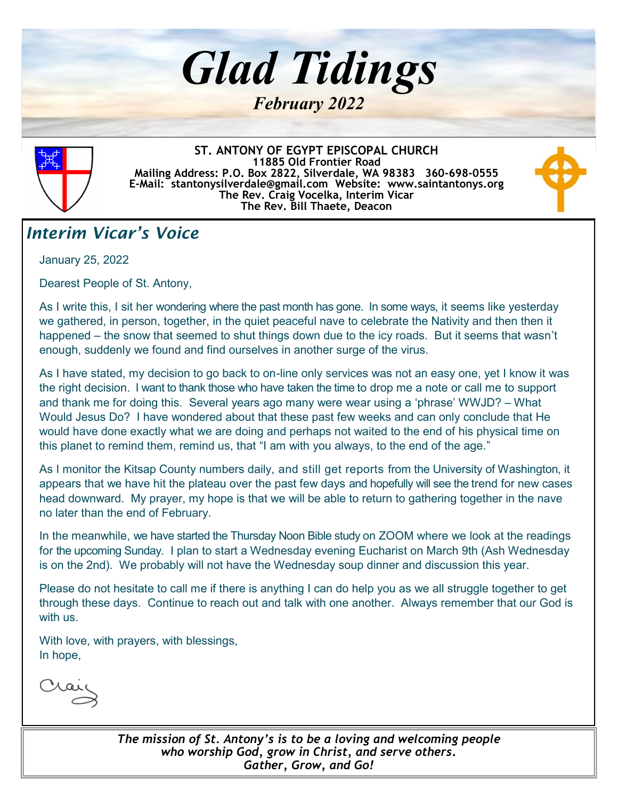



**ST. ANTONY OF EGYPT EPISCOPAL CHURCH 11885 Old Frontier Road Mailing Address: P.O. Box 2822, Silverdale, WA 98383 360-698-0555 E-Mail: stantonysilverdale@gmail.com Website: www.saintantonys.org The Rev. Craig Vocelka, Interim Vicar The Rev. Bill Thaete, Deacon**



#### *Interim Vicar's Voice*

January 25, 2022

Dearest People of St. Antony,

As I write this, I sit her wondering where the past month has gone. In some ways, it seems like yesterday we gathered, in person, together, in the quiet peaceful nave to celebrate the Nativity and then then it happened – the snow that seemed to shut things down due to the icy roads. But it seems that wasn't enough, suddenly we found and find ourselves in another surge of the virus.

As I have stated, my decision to go back to on-line only services was not an easy one, yet I know it was the right decision. I want to thank those who have taken the time to drop me a note or call me to support and thank me for doing this. Several years ago many were wear using a 'phrase' WWJD? – What Would Jesus Do? I have wondered about that these past few weeks and can only conclude that He would have done exactly what we are doing and perhaps not waited to the end of his physical time on this planet to remind them, remind us, that "I am with you always, to the end of the age."

As I monitor the Kitsap County numbers daily, and still get reports from the University of Washington, it appears that we have hit the plateau over the past few days and hopefully will see the trend for new cases head downward. My prayer, my hope is that we will be able to return to gathering together in the nave no later than the end of February.

In the meanwhile, we have started the Thursday Noon Bible study on ZOOM where we look at the readings for the upcoming Sunday. I plan to start a Wednesday evening Eucharist on March 9th (Ash Wednesday is on the 2nd). We probably will not have the Wednesday soup dinner and discussion this year.

Please do not hesitate to call me if there is anything I can do help you as we all struggle together to get through these days. Continue to reach out and talk with one another. Always remember that our God is with us.

With love, with prayers, with blessings, In hope,

*The mission of St. Antony's is to be a loving and welcoming people who worship God, grow in Christ, and serve others***.** *Gather, Grow, and Go!*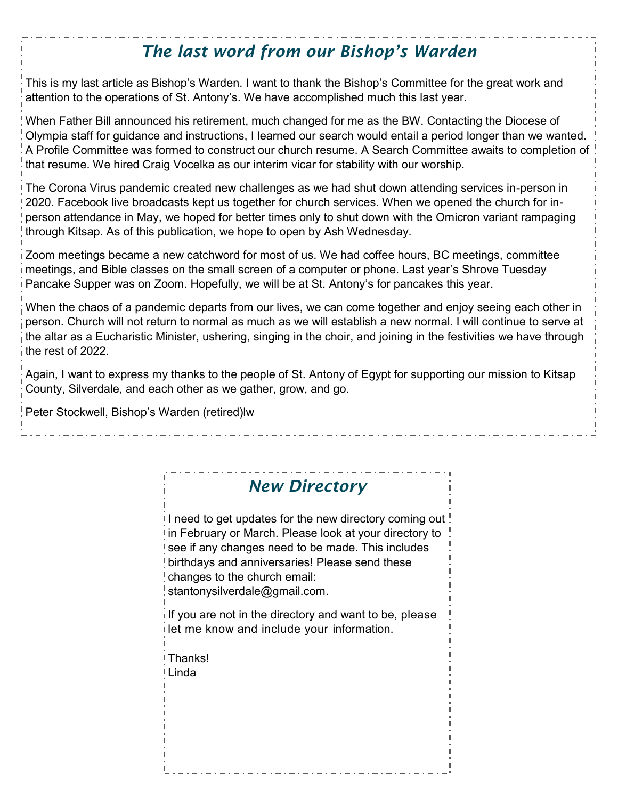## *The last word from our Bishop's Warden*

This is my last article as Bishop's Warden. I want to thank the Bishop's Committee for the great work and attention to the operations of St. Antony's. We have accomplished much this last year.

When Father Bill announced his retirement, much changed for me as the BW. Contacting the Diocese of Olympia staff for guidance and instructions, I learned our search would entail a period longer than we wanted. A Profile Committee was formed to construct our church resume. A Search Committee awaits to completion of that resume. We hired Craig Vocelka as our interim vicar for stability with our worship.

The Corona Virus pandemic created new challenges as we had shut down attending services in-person in 2020. Facebook live broadcasts kept us together for church services. When we opened the church for inperson attendance in May, we hoped for better times only to shut down with the Omicron variant rampaging through Kitsap. As of this publication, we hope to open by Ash Wednesday.

Zoom meetings became a new catchword for most of us. We had coffee hours, BC meetings, committee meetings, and Bible classes on the small screen of a computer or phone. Last year's Shrove Tuesday Pancake Supper was on Zoom. Hopefully, we will be at St. Antony's for pancakes this year.

When the chaos of a pandemic departs from our lives, we can come together and enjoy seeing each other in person. Church will not return to normal as much as we will establish a new normal. I will continue to serve at the altar as a Eucharistic Minister, ushering, singing in the choir, and joining in the festivities we have through the rest of 2022.

Again, I want to express my thanks to the people of St. Antony of Egypt for supporting our mission to Kitsap County, Silverdale, and each other as we gather, grow, and go.

Peter Stockwell, Bishop's Warden (retired)lw

#### *New Directory*

I need to get updates for the new directory coming out in February or March. Please look at your directory to see if any changes need to be made. This includes birthdays and anniversaries! Please send these changes to the church email: stantonysilverdale@gmail.com.

 $\overline{\mathsf{i}}$  If you are not in the directory and want to be, please let me know and include your information.

Thanks!

Linda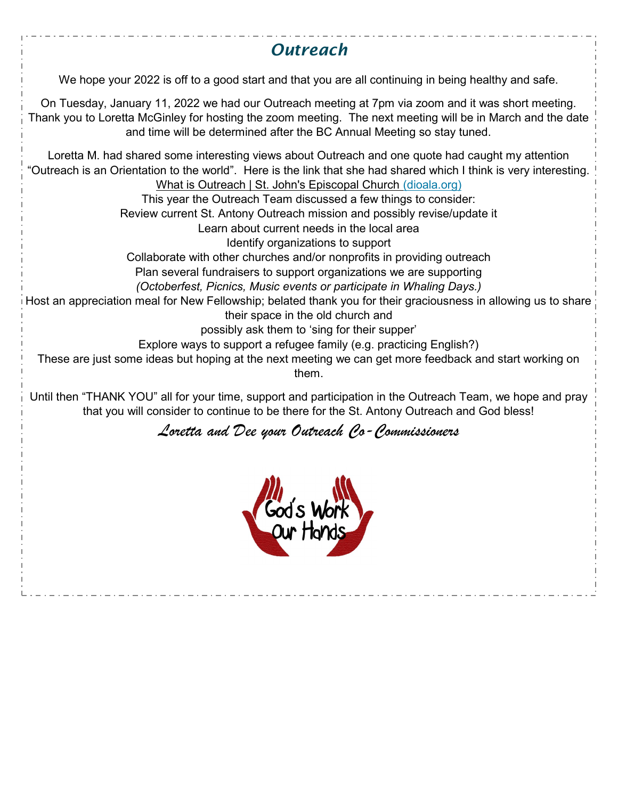# *Outreach* We hope your 2022 is off to a good start and that you are all continuing in being healthy and safe. On Tuesday, January 11, 2022 we had our Outreach meeting at 7pm via zoom and it was short meeting. Thank you to Loretta McGinley for hosting the zoom meeting. The next meeting will be in March and the date and time will be determined after the BC Annual Meeting so stay tuned. Loretta M. had shared some interesting views about Outreach and one quote had caught my attention "Outreach is an Orientation to the world". Here is the link that she had shared which I think is very interesting. [What is Outreach | St. John's Episcopal Church \(dioala.org\)](https://stjohnsdecatur.dioala.org/why-outreach-matters.html)  This year the Outreach Team discussed a few things to consider: Review current St. Antony Outreach mission and possibly revise/update it Learn about current needs in the local area Identify organizations to support Collaborate with other churches and/or nonprofits in providing outreach Plan several fundraisers to support organizations we are supporting *(Octoberfest, Picnics, Music events or participate in Whaling Days.)* Host an appreciation meal for New Fellowship; belated thank you for their graciousness in allowing us to share their space in the old church and possibly ask them to 'sing for their supper' Explore ways to support a refugee family (e.g. practicing English?) These are just some ideas but hoping at the next meeting we can get more feedback and start working on them. Until then "THANK YOU" all for your time, support and participation in the Outreach Team, we hope and pray that you will consider to continue to be there for the St. Antony Outreach and God bless! *Loretta and Dee your Outreach Co-Commissioners*God's Wo<br>Our Hork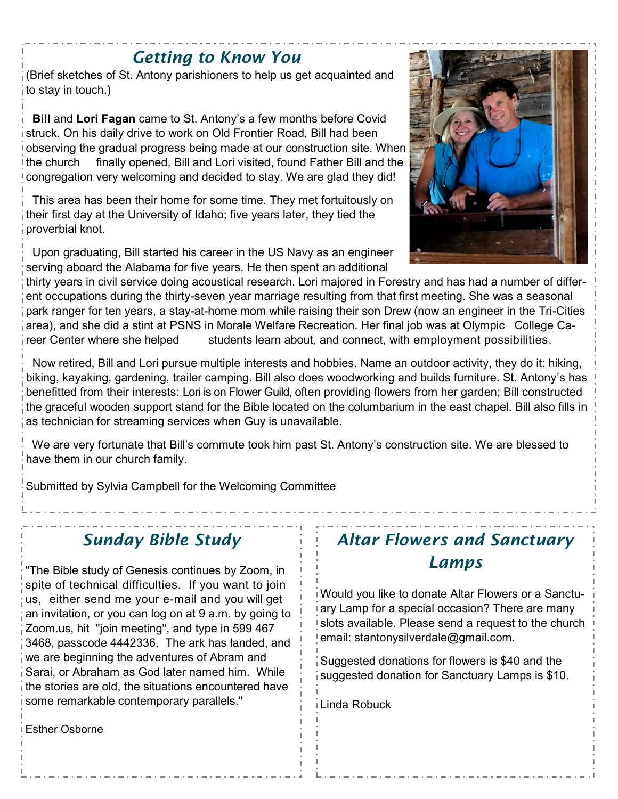#### *Getting to Know You*

(Brief sketches of St. Antony parishioners to help us get acquainted and to stay in touch.)

 **Bill** and **Lori Fagan** came to St. Antony's a few months before Covid struck. On his daily drive to work on Old Frontier Road, Bill had been observing the gradual progress being made at our construction site. When Ithe church finally opened, Bill and Lori visited, found Father Bill and the congregation very welcoming and decided to stay. We are glad they did!

 This area has been their home for some time. They met fortuitously on their first day at the University of Idaho; five years later, they tied the proverbial knot.

 Upon graduating, Bill started his career in the US Navy as an engineer serving aboard the Alabama for five years. He then spent an additional

thirty years in civil service doing acoustical research. Lori majored in Forestry and has had a number of different occupations during the thirty-seven year marriage resulting from that first meeting. She was a seasonal park ranger for ten years, a stay-at-home mom while raising their son Drew (now an engineer in the Tri-Cities area), and she did a stint at PSNS in Morale Welfare Recreation. Her final job was at Olympic College Career Center where she helped students learn about, and connect, with employment possibilities.

 Now retired, Bill and Lori pursue multiple interests and hobbies. Name an outdoor activity, they do it: hiking, biking, kayaking, gardening, trailer camping. Bill also does woodworking and builds furniture. St. Antony's has benefitted from their interests: Lori is on Flower Guild, often providing flowers from her garden; Bill constructed the graceful wooden support stand for the Bible located on the columbarium in the east chapel. Bill also fills in as technician for streaming services when Guy is unavailable.

 We are very fortunate that Bill's commute took him past St. Antony's construction site. We are blessed to have them in our church family.

Submitted by Sylvia Campbell for the Welcoming Committee

## *Sunday Bible Study*

"The Bible study of Genesis continues by Zoom, in spite of technical difficulties. If you want to join us, either send me your e-mail and you will get an invitation, or you can log on at 9 a.m. by going to Zoom.us, hit "join meeting", and type in 599 467 3468, passcode 4442336. The ark has landed, and we are beginning the adventures of Abram and Sarai, or Abraham as God later named him. While the stories are old, the situations encountered have some remarkable contemporary parallels."

#### *Altar Flowers and Sanctuary Lamps*

Would you like to donate Altar Flowers or a Sanctuary Lamp for a special occasion? There are many slots available. Please send a request to the church email: stantonysilverdale@gmail.com.

Suggested donations for flowers is \$40 and the suggested donation for Sanctuary Lamps is \$10.

Linda Robuck

Esther Osborne

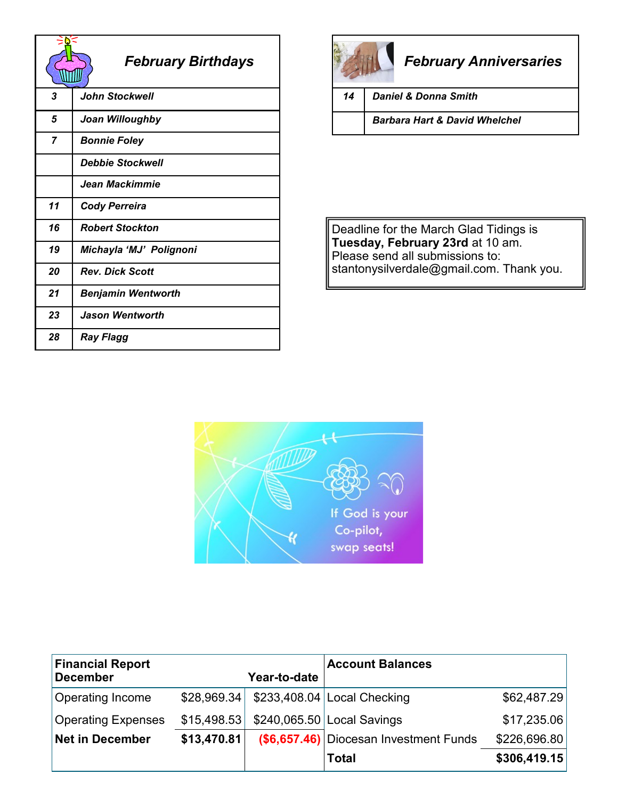|    | <b>February Birthdays</b> |
|----|---------------------------|
| 3  | <b>John Stockwell</b>     |
| 5  | Joan Willoughby           |
| 7  | <b>Bonnie Foley</b>       |
|    | <b>Debbie Stockwell</b>   |
|    | Jean Mackimmie            |
| 11 | <b>Cody Perreira</b>      |
| 16 | <b>Robert Stockton</b>    |
| 19 | Michayla 'MJ' Polignoni   |
| 20 | <b>Rev. Dick Scott</b>    |
| 21 | <b>Benjamin Wentworth</b> |
| 23 | Jason Wentworth           |
| 28 | Ray Flagg                 |



# *February Anniversaries*

*14 Daniel & Donna Smith*

*Barbara Hart & David Whelchel*

Deadline for the March Glad Tidings is **Tuesday, February 23rd** at 10 am. Please send all submissions to: stantonysilverdale@gmail.com. Thank you.



| <b>Financial Report</b><br><b>December</b> |             | Year-to-date | <b>Account Balances</b>                |              |
|--------------------------------------------|-------------|--------------|----------------------------------------|--------------|
| Operating Income                           | \$28,969.34 |              | $$233,408.04$ Local Checking           | \$62,487.29  |
| <b>Operating Expenses</b>                  | \$15,498.53 |              | $$240,065.50$ Local Savings            | \$17,235.06  |
| <b>Net in December</b>                     | \$13,470.81 |              | (\$6,657.46) Diocesan Investment Funds | \$226,696.80 |
|                                            |             |              | <b>Total</b>                           | \$306,419.15 |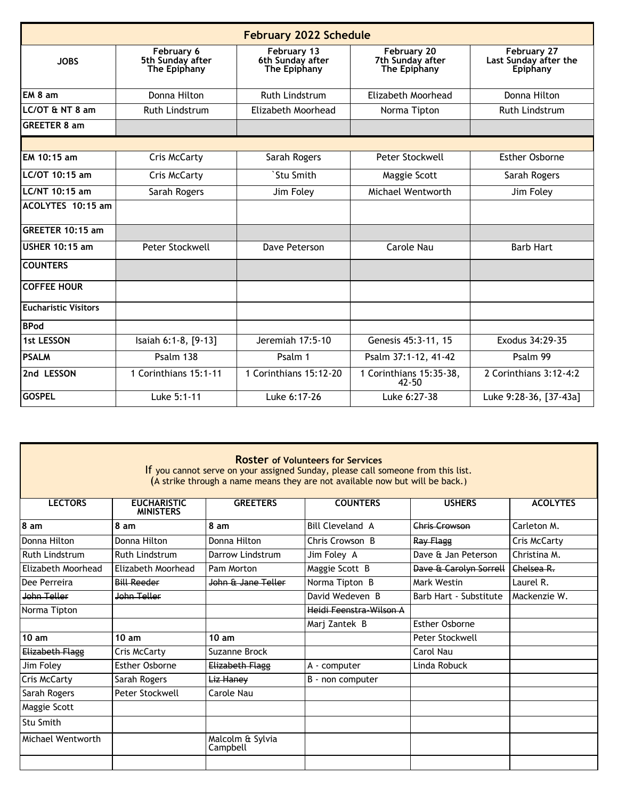| <b>February 2022 Schedule</b> |                                                |                                                 |                                                 |                                                         |  |
|-------------------------------|------------------------------------------------|-------------------------------------------------|-------------------------------------------------|---------------------------------------------------------|--|
| <b>JOBS</b>                   | February 6<br>5th Sunday after<br>The Epiphany | February 13<br>6th Sunday after<br>The Epiphany | February 20<br>7th Sunday after<br>The Epiphany | February 27<br>Last Sunday after the<br><b>Epiphany</b> |  |
| EM 8 am                       | Donna Hilton                                   | <b>Ruth Lindstrum</b>                           | Elizabeth Moorhead                              | Donna Hilton                                            |  |
| $LC/OT$ & NT 8 am             | Ruth Lindstrum                                 | Elizabeth Moorhead                              | Norma Tipton                                    | <b>Ruth Lindstrum</b>                                   |  |
| <b>GREETER 8 am</b>           |                                                |                                                 |                                                 |                                                         |  |
|                               |                                                |                                                 |                                                 |                                                         |  |
| EM 10:15 am                   | <b>Cris McCarty</b>                            | Sarah Rogers                                    | Peter Stockwell                                 | Esther Osborne                                          |  |
| LC/OT 10:15 am                | <b>Cris McCarty</b>                            | `Stu Smith                                      | Maggie Scott                                    | Sarah Rogers                                            |  |
| LC/NT 10:15 am                | Sarah Rogers                                   | Jim Foley                                       | Michael Wentworth                               | Jim Foley                                               |  |
| ACOLYTES 10:15 am             |                                                |                                                 |                                                 |                                                         |  |
| GREETER 10:15 am              |                                                |                                                 |                                                 |                                                         |  |
| <b>USHER 10:15 am</b>         | Peter Stockwell                                | Dave Peterson                                   | <b>Carole Nau</b>                               | <b>Barb Hart</b>                                        |  |
| <b>COUNTERS</b>               |                                                |                                                 |                                                 |                                                         |  |
| <b>COFFEE HOUR</b>            |                                                |                                                 |                                                 |                                                         |  |
| <b>Eucharistic Visitors</b>   |                                                |                                                 |                                                 |                                                         |  |
| <b>BPod</b>                   |                                                |                                                 |                                                 |                                                         |  |
| <b>1st LESSON</b>             | Isaiah 6:1-8, [9-13]                           | Jeremiah 17:5-10                                | Genesis 45:3-11, 15                             | Exodus 34:29-35                                         |  |
| <b>PSALM</b>                  | Psalm 138                                      | Psalm 1                                         | Psalm 37:1-12, 41-42                            | Psalm 99                                                |  |
| 2nd LESSON                    | 1 Corinthians 15:1-11                          | 1 Corinthians 15:12-20                          | 1 Corinthians 15:35-38,<br>$42 - 50$            | 2 Corinthians 3:12-4:2                                  |  |
| <b>GOSPEL</b>                 | Luke 5:1-11                                    | Luke 6:17-26                                    | Luke 6:27-38                                    | Luke 9:28-36, [37-43a]                                  |  |

#### **Roster of Volunteers for Services**

If you cannot serve on your assigned Sunday, please call someone from this list. (A strike through a name means they are not available now but will be back.)

| <b>LECTORS</b>         | <b>EUCHARISTIC</b><br><b>MINISTERS</b> | <b>GREETERS</b>              | <b>COUNTERS</b>         | <b>USHERS</b>          | <b>ACOLYTES</b>     |
|------------------------|----------------------------------------|------------------------------|-------------------------|------------------------|---------------------|
| 8 am                   | 8 am                                   | 8 am                         | <b>Bill Cleveland A</b> | Chris Crowson          | Carleton M.         |
| Donna Hilton           | Donna Hilton                           | Donna Hilton                 | Chris Crowson B         | Ray Flagg              | <b>Cris McCarty</b> |
| <b>Ruth Lindstrum</b>  | <b>Ruth Lindstrum</b>                  | Darrow Lindstrum             | Jim Foley A             | Dave & Jan Peterson    | Christina M.        |
| Elizabeth Moorhead     | Elizabeth Moorhead                     | Pam Morton                   | Maggie Scott B          | Dave & Carolyn Sorrell | Chelsea R.          |
| Dee Perreira           | <b>Bill Reeder</b>                     | John & Jane Teller           | Norma Tipton B          | Mark Westin            | Laurel R.           |
| John Teller            | John Teller                            |                              | David Wedeven B         | Barb Hart - Substitute | Mackenzie W.        |
| Norma Tipton           |                                        |                              | Heidi Feenstra-Wilson A |                        |                     |
|                        |                                        |                              | Marj Zantek B           | <b>Esther Osborne</b>  |                     |
| 10 am                  | 10 am                                  | 10 am                        |                         | Peter Stockwell        |                     |
| <b>Elizabeth Flagg</b> | Cris McCarty                           | Suzanne Brock                |                         | Carol Nau              |                     |
| Jim Foley              | <b>Esther Osborne</b>                  | Elizabeth Flagg              | A - computer            | Linda Robuck           |                     |
| Cris McCarty           | Sarah Rogers                           | Liz Hanev                    | B - non computer        |                        |                     |
| Sarah Rogers           | Peter Stockwell                        | Carole Nau                   |                         |                        |                     |
| Maggie Scott           |                                        |                              |                         |                        |                     |
| Stu Smith              |                                        |                              |                         |                        |                     |
| Michael Wentworth      |                                        | Malcolm & Sylvia<br>Campbell |                         |                        |                     |
|                        |                                        |                              |                         |                        |                     |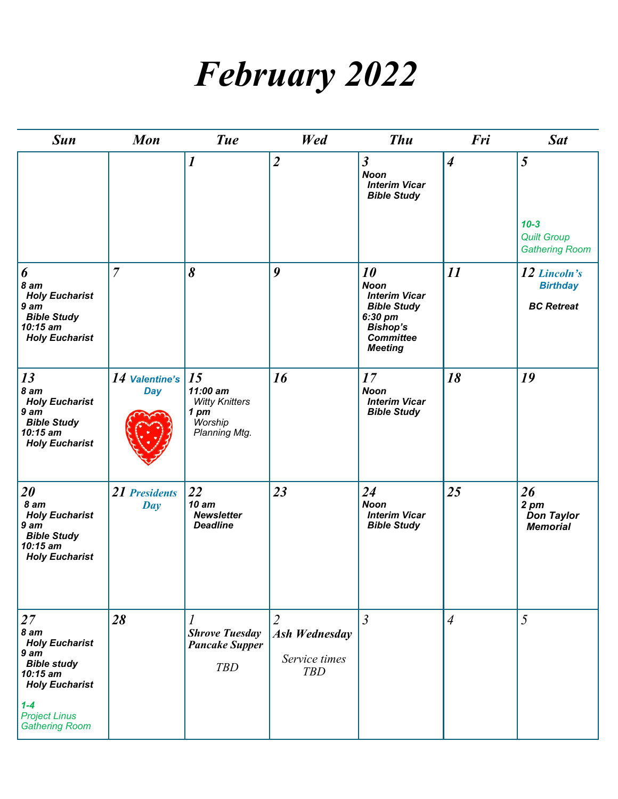# *February 2022*

| <b>Sun</b>                                                                                                                                           | <b>Mon</b>                        | <b>Tue</b>                                                                              | Wed                                                                   | <b>Thu</b>                                                                                                                          | Fri              | <b>Sat</b>                                                     |
|------------------------------------------------------------------------------------------------------------------------------------------------------|-----------------------------------|-----------------------------------------------------------------------------------------|-----------------------------------------------------------------------|-------------------------------------------------------------------------------------------------------------------------------------|------------------|----------------------------------------------------------------|
|                                                                                                                                                      |                                   | $\boldsymbol{l}$                                                                        | $\overline{2}$                                                        | $\overline{\mathbf{3}}$<br><b>Noon</b><br><b>Interim Vicar</b><br><b>Bible Study</b>                                                | $\boldsymbol{4}$ | 5<br>$10 - 3$<br><b>Quilt Group</b>                            |
|                                                                                                                                                      |                                   |                                                                                         |                                                                       |                                                                                                                                     |                  | <b>Gathering Room</b>                                          |
| 6<br>8 am<br><b>Holy Eucharist</b><br>9 <sub>am</sub><br><b>Bible Study</b><br>10:15 am<br><b>Holy Eucharist</b>                                     | $\overline{7}$                    | 8                                                                                       | 9                                                                     | 10<br><b>Noon</b><br><b>Interim Vicar</b><br><b>Bible Study</b><br>6:30 pm<br><b>Bishop's</b><br><b>Committee</b><br><b>Meeting</b> | 11               | 12 Lincoln's<br><b>Birthday</b><br><b>BC</b> Retreat           |
| 13<br>8 am<br><b>Holy Eucharist</b><br>9 am<br><b>Bible Study</b><br>10:15 am<br><b>Holy Eucharist</b>                                               | 14 Valentine's $15$<br><b>Day</b> | 11:00 am<br><b>Witty Knitters</b><br>1 <sub>pm</sub><br><b>Worship</b><br>Planning Mtg. | 16                                                                    | 17<br><b>Noon</b><br><b>Interim Vicar</b><br><b>Bible Study</b>                                                                     | 18               | 19                                                             |
| $20\,$<br>8 am<br><b>Holy Eucharist</b><br>9 <sub>am</sub><br><b>Bible Study</b><br>$10:15$ am<br><b>Holy Eucharist</b>                              | 21 Presidents<br>Day              | 22<br><b>10 am</b><br><b>Newsletter</b><br><b>Deadline</b>                              | 23                                                                    | 24<br><b>Noon</b><br><b>Interim Vicar</b><br><b>Bible Study</b>                                                                     | 25               | 26<br>$2 \, \text{pm}$<br><b>Don Taylor</b><br><b>Memorial</b> |
| 27<br>8 am<br><b>Holy Eucharist</b><br>9 <sub>am</sub><br><b>Bible study</b><br>10:15 am<br><b>Holy Eucharist</b><br>$1 - 4$<br><b>Project Linus</b> | 28                                | $\overline{l}$<br><b>Shrove Tuesday</b><br><b>Pancake Supper</b><br><b>TBD</b>          | $\overline{2}$<br><b>Ash Wednesday</b><br>Service times<br><b>TBD</b> | $\overline{3}$                                                                                                                      | $\overline{4}$   | 5                                                              |
| <b>Gathering Room</b>                                                                                                                                |                                   |                                                                                         |                                                                       |                                                                                                                                     |                  |                                                                |